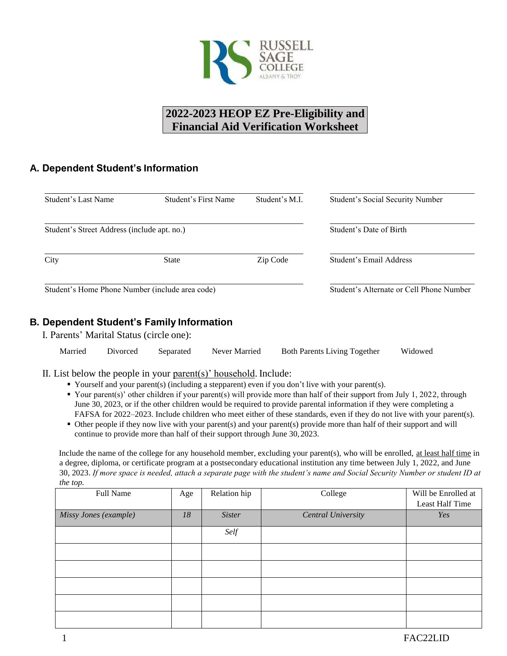

# **2022-2023 HEOP EZ Pre-Eligibility and Financial Aid Verification Worksheet**

### **A. Dependent Student's Information**

| Student's Last Name                             | Student's First Name | Student's M.L. | Student's Social Security Number         |
|-------------------------------------------------|----------------------|----------------|------------------------------------------|
| Student's Street Address (include apt. no.)     |                      |                | Student's Date of Birth                  |
| City                                            | <b>State</b>         | Zip Code       | Student's Email Address                  |
| Student's Home Phone Number (include area code) |                      |                | Student's Alternate or Cell Phone Number |

### **B. Dependent Student's Family Information**

I. Parents' Marital Status (circle one):

| Married | Divorced | Separated | Never Married | <b>Both Parents Living Together</b> | Widowed |
|---------|----------|-----------|---------------|-------------------------------------|---------|
|         |          |           |               |                                     |         |

#### II. List below the people in your parent(s)' household. Include:

- Yourself and your parent(s) (including a stepparent) even if you don't live with your parent(s).
- Your parent(s)' other children if your parent(s) will provide more than half of their support from July 1, 2022, through June 30, 2023, or if the other children would be required to provide parental information if they were completing a FAFSA for 2022–2023. Include children who meet either of these standards, even if they do not live with your parent(s).
- Other people if they now live with your parent(s) and your parent(s) provide more than half of their support and will continue to provide more than half of their support through June 30, 2023.

Include the name of the college for any household member, excluding your parent(s), who will be enrolled, at least half time in a degree, diploma, or certificate program at a postsecondary educational institution any time between July 1, 2022, and June 30, 2023. *If more space is needed, attach a separate page with the student's name and Social Security Number or student ID at the top.*

| Full Name             | Age | Relation hip  | College            | Will be Enrolled at<br>Least Half Time |
|-----------------------|-----|---------------|--------------------|----------------------------------------|
| Missy Jones (example) | 18  | <b>Sister</b> | Central University | Yes                                    |
|                       |     | Self          |                    |                                        |
|                       |     |               |                    |                                        |
|                       |     |               |                    |                                        |
|                       |     |               |                    |                                        |
|                       |     |               |                    |                                        |
|                       |     |               |                    |                                        |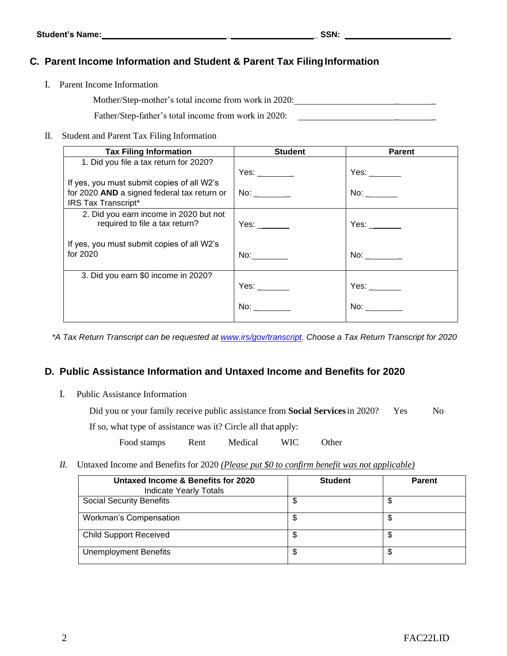## **C. Parent Income Information and Student & Parent Tax FilingInformation**

I. Parent Income Information

Mother/Step-mother's total income from work in 2020:

Father/Step-father's total income from work in 2020:

II. Student and Parent Tax Filing Information

| <b>Tax Filing Information</b>               | <b>Student</b>             | <b>Parent</b>                |
|---------------------------------------------|----------------------------|------------------------------|
| 1. Did you file a tax return for 2020?      |                            |                              |
|                                             | Yes: _________             | Yes: $\frac{\ }{\ }$         |
| If yes, you must submit copies of all W2's  |                            |                              |
| for 2020 AND a signed federal tax return or | $\mathsf{No:}_{\_}$ $\_\_$ | No: $\overline{\phantom{a}}$ |
| IRS Tax Transcript*                         |                            |                              |
| 2. Did you earn income in 2020 but not      |                            |                              |
| required to file a tax return?              | Yes: $\frac{1}{2}$         | Yes: $\frac{\ }{\ }$         |
|                                             |                            |                              |
| If yes, you must submit copies of all W2's  |                            |                              |
| for 2020                                    | No: $\qquad \qquad$        | No: $\_\_$                   |
|                                             |                            |                              |
| 3. Did you earn \$0 income in 2020?         |                            |                              |
|                                             |                            | Yes: $\frac{\ }{\ }$         |
|                                             |                            |                              |
|                                             | No:                        | No:                          |
|                                             |                            |                              |

*\*A Tax Return Transcript can be requested at www.irs/gov/transcript. Choose a Tax Return Transcript for 2020*

### **D. Public Assistance Information and Untaxed Income and Benefits for 2020**

I. Public Assistance Information

| Did you or your family receive public assistance from <b>Social Services</b> in 2020? | <b>Yes</b> | No |
|---------------------------------------------------------------------------------------|------------|----|
| If so, what type of assistance was it? Circle all that apply:                         |            |    |

Food stamps Rent Medical WIC Other

*II.* Untaxed Income and Benefits for 2020 *(Please put \$0 to confirm benefit was not applicable)*

| Untaxed Income & Benefits for 2020<br><b>Indicate Yearly Totals</b> | <b>Student</b> | <b>Parent</b> |
|---------------------------------------------------------------------|----------------|---------------|
| <b>Social Security Benefits</b>                                     | \$             | \$            |
| Workman's Compensation                                              | \$             | \$            |
| <b>Child Support Received</b>                                       | \$             | \$            |
| <b>Unemployment Benefits</b>                                        | \$             | \$            |